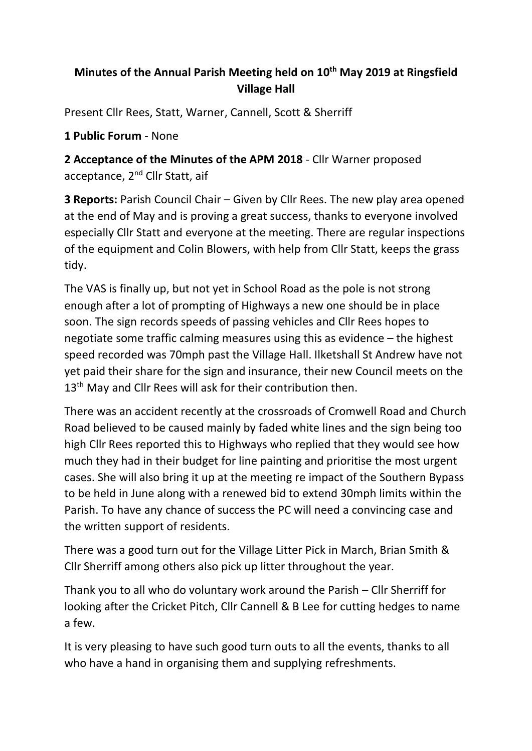## **Minutes of the Annual Parish Meeting held on 10 th May 2019 at Ringsfield Village Hall**

Present Cllr Rees, Statt, Warner, Cannell, Scott & Sherriff

**1 Public Forum** - None

**2 Acceptance of the Minutes of the APM 2018** - Cllr Warner proposed acceptance, 2<sup>nd</sup> Cllr Statt, aif

**3 Reports:** Parish Council Chair – Given by Cllr Rees. The new play area opened at the end of May and is proving a great success, thanks to everyone involved especially Cllr Statt and everyone at the meeting. There are regular inspections of the equipment and Colin Blowers, with help from Cllr Statt, keeps the grass tidy.

The VAS is finally up, but not yet in School Road as the pole is not strong enough after a lot of prompting of Highways a new one should be in place soon. The sign records speeds of passing vehicles and Cllr Rees hopes to negotiate some traffic calming measures using this as evidence – the highest speed recorded was 70mph past the Village Hall. Ilketshall St Andrew have not yet paid their share for the sign and insurance, their new Council meets on the 13<sup>th</sup> May and Cllr Rees will ask for their contribution then.

There was an accident recently at the crossroads of Cromwell Road and Church Road believed to be caused mainly by faded white lines and the sign being too high Cllr Rees reported this to Highways who replied that they would see how much they had in their budget for line painting and prioritise the most urgent cases. She will also bring it up at the meeting re impact of the Southern Bypass to be held in June along with a renewed bid to extend 30mph limits within the Parish. To have any chance of success the PC will need a convincing case and the written support of residents.

There was a good turn out for the Village Litter Pick in March, Brian Smith & Cllr Sherriff among others also pick up litter throughout the year.

Thank you to all who do voluntary work around the Parish – Cllr Sherriff for looking after the Cricket Pitch, Cllr Cannell & B Lee for cutting hedges to name a few.

It is very pleasing to have such good turn outs to all the events, thanks to all who have a hand in organising them and supplying refreshments.